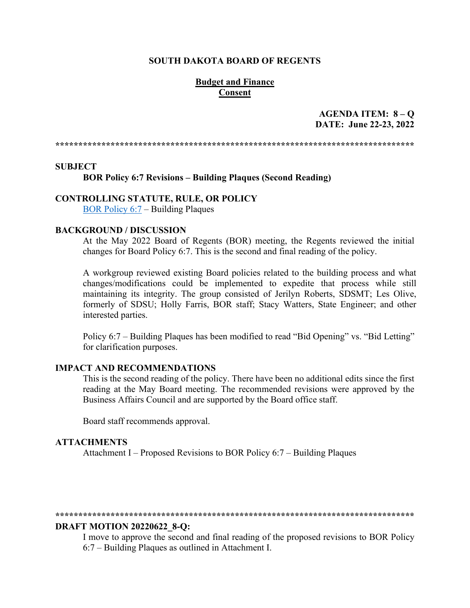#### **SOUTH DAKOTA BOARD OF REGENTS**

# **Budget and Finance Consent**

# **AGENDA ITEM: 8 – Q DATE: June 22-23, 2022**

**\*\*\*\*\*\*\*\*\*\*\*\*\*\*\*\*\*\*\*\*\*\*\*\*\*\*\*\*\*\*\*\*\*\*\*\*\*\*\*\*\*\*\*\*\*\*\*\*\*\*\*\*\*\*\*\*\*\*\*\*\*\*\*\*\*\*\*\*\*\*\*\*\*\*\*\*\*\***

#### **SUBJECT**

**BOR Policy 6:7 Revisions – Building Plaques (Second Reading)** 

### **CONTROLLING STATUTE, RULE, OR POLICY**

[BOR Policy 6:7](https://www.sdbor.edu/policy/documents/6-7.pdf) – Building Plaques

#### **BACKGROUND / DISCUSSION**

At the May 2022 Board of Regents (BOR) meeting, the Regents reviewed the initial changes for Board Policy 6:7. This is the second and final reading of the policy.

A workgroup reviewed existing Board policies related to the building process and what changes/modifications could be implemented to expedite that process while still maintaining its integrity. The group consisted of Jerilyn Roberts, SDSMT; Les Olive, formerly of SDSU; Holly Farris, BOR staff; Stacy Watters, State Engineer; and other interested parties.

Policy 6:7 – Building Plaques has been modified to read "Bid Opening" vs. "Bid Letting" for clarification purposes.

#### **IMPACT AND RECOMMENDATIONS**

This is the second reading of the policy. There have been no additional edits since the first reading at the May Board meeting. The recommended revisions were approved by the Business Affairs Council and are supported by the Board office staff.

Board staff recommends approval.

## **ATTACHMENTS**

Attachment I – Proposed Revisions to BOR Policy 6:7 – Building Plaques

#### **\*\*\*\*\*\*\*\*\*\*\*\*\*\*\*\*\*\*\*\*\*\*\*\*\*\*\*\*\*\*\*\*\*\*\*\*\*\*\*\*\*\*\*\*\*\*\*\*\*\*\*\*\*\*\*\*\*\*\*\*\*\*\*\*\*\*\*\*\*\*\*\*\*\*\*\*\*\***

#### **DRAFT MOTION 20220622\_8-Q:**

I move to approve the second and final reading of the proposed revisions to BOR Policy 6:7 – Building Plaques as outlined in Attachment I.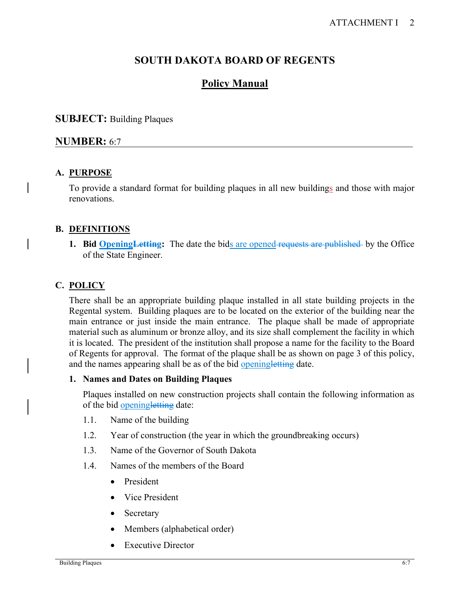# **SOUTH DAKOTA BOARD OF REGENTS**

# **Policy Manual**

# **SUBJECT:** Building Plaques

# **NUMBER:** 6:7

# **A. PURPOSE**

To provide a standard format for building plaques in all new buildings and those with major renovations.

# **B. DEFINITIONS**

**1. Bid Opening Letting:** The date the bids are opened requests are published by the Office of the State Engineer.

# **C. POLICY**

There shall be an appropriate building plaque installed in all state building projects in the Regental system. Building plaques are to be located on the exterior of the building near the main entrance or just inside the main entrance. The plaque shall be made of appropriate material such as aluminum or bronze alloy, and its size shall complement the facility in which it is located. The president of the institution shall propose a name for the facility to the Board of Regents for approval. The format of the plaque shall be as shown on page 3 of this policy, and the names appearing shall be as of the bid openingletting date.

# **1. Names and Dates on Building Plaques**

Plaques installed on new construction projects shall contain the following information as of the bid openingletting date:

- 1.1. Name of the building
- 1.2. Year of construction (the year in which the groundbreaking occurs)
- 1.3. Name of the Governor of South Dakota
- 1.4. Names of the members of the Board
	- President
	- Vice President
	- Secretary
	- Members (alphabetical order)
	- Executive Director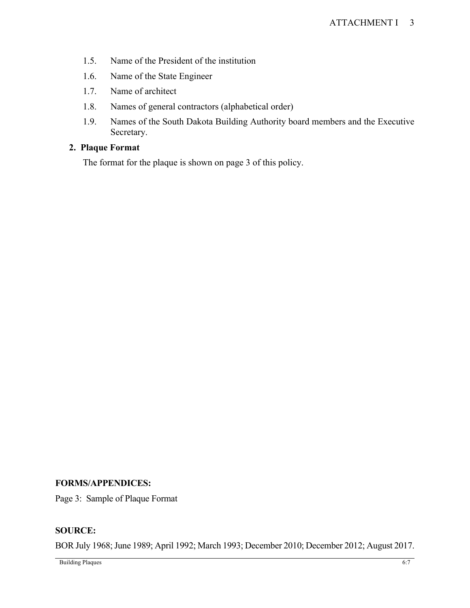- 1.5. Name of the President of the institution
- 1.6. Name of the State Engineer
- 1.7. Name of architect
- 1.8. Names of general contractors (alphabetical order)
- 1.9. Names of the South Dakota Building Authority board members and the Executive Secretary.

# **2. Plaque Format**

The format for the plaque is shown on page 3 of this policy.

# **FORMS/APPENDICES:**

Page 3: Sample of Plaque Format

# **SOURCE:**

BOR July 1968; June 1989; April 1992; March 1993; December 2010; December 2012; August 2017.